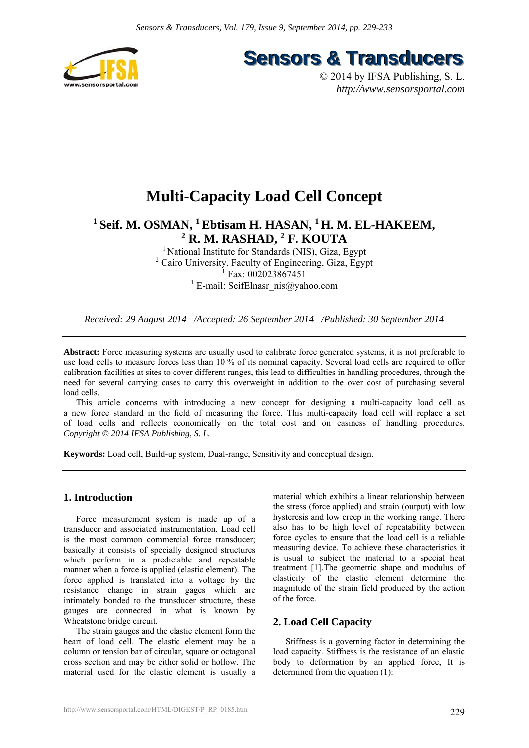

**Sensors & Transducers** 

© 2014 by IFSA Publishing, S. L. *http://www.sensorsportal.com*

# **Multi-Capacity Load Cell Concept**

## <sup>1</sup> Seif. M. OSMAN, <sup>1</sup> Ebtisam H. HASAN, <sup>1</sup> H. M. EL-HAKEEM, <sup>2</sup> **R. M. RASHAD, <sup>2</sup> <b>F. KOUTA**

<sup>1</sup> National Institute for Standards (NIS), Giza, Egypt <sup>2</sup> Cairo University, Faculty of Engineering, Giza, Egypt 1 Fax: 002023867451 <sup>1</sup> E-mail: SeifElnasr\_nis@yahoo.com

*Received: 29 August 2014 /Accepted: 26 September 2014 /Published: 30 September 2014* 

**Abstract:** Force measuring systems are usually used to calibrate force generated systems, it is not preferable to use load cells to measure forces less than 10 % of its nominal capacity. Several load cells are required to offer calibration facilities at sites to cover different ranges, this lead to difficulties in handling procedures, through the need for several carrying cases to carry this overweight in addition to the over cost of purchasing several load cells.

This article concerns with introducing a new concept for designing a multi-capacity load cell as a new force standard in the field of measuring the force. This multi-capacity load cell will replace a set of load cells and reflects economically on the total cost and on easiness of handling procedures. *Copyright © 2014 IFSA Publishing, S. L.*

**Keywords:** Load cell, Build-up system, Dual-range, Sensitivity and conceptual design.

## **1. Introduction**

Force measurement system is made up of a transducer and associated instrumentation. Load cell is the most common commercial force transducer; basically it consists of specially designed structures which perform in a predictable and repeatable manner when a force is applied (elastic element). The force applied is translated into a voltage by the resistance change in strain gages which are intimately bonded to the transducer structure, these gauges are connected in what is known by Wheatstone bridge circuit.

The strain gauges and the elastic element form the heart of load cell. The elastic element may be a column or tension bar of circular, square or octagonal cross section and may be either solid or hollow. The material used for the elastic element is usually a

material which exhibits a linear relationship between the stress (force applied) and strain (output) with low hysteresis and low creep in the working range. There also has to be high level of repeatability between force cycles to ensure that the load cell is a reliable measuring device. To achieve these characteristics it is usual to subject the material to a special heat treatment [1].The geometric shape and modulus of elasticity of the elastic element determine the magnitude of the strain field produced by the action of the force.

## **2. Load Cell Capacity**

Stiffness is a governing factor in determining the load capacity. Stiffness is the resistance of an elastic body to deformation by an applied force, It is determined from the equation (1):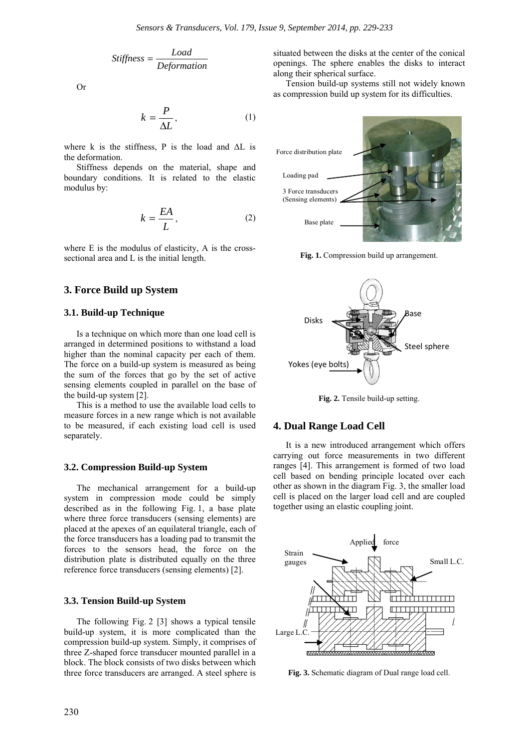$$
Stiffness = \frac{Load}{Deformation}
$$

Or

$$
k = \frac{P}{\Delta L},\tag{1}
$$

where k is the stiffness. P is the load and  $\Delta L$  is the deformation.

Stiffness depends on the material, shape and boundary conditions. It is related to the elastic modulus by:

$$
k = \frac{EA}{L},\tag{2}
$$

where E is the modulus of elasticity, A is the crosssectional area and L is the initial length.

## **3. Force Build up System**

### **3.1. Build-up Technique**

Is a technique on which more than one load cell is arranged in determined positions to withstand a load higher than the nominal capacity per each of them. The force on a build-up system is measured as being the sum of the forces that go by the set of active sensing elements coupled in parallel on the base of the build-up system [2].

This is a method to use the available load cells to measure forces in a new range which is not available to be measured, if each existing load cell is used separately.

#### **3.2. Compression Build-up System**

The mechanical arrangement for a build-up system in compression mode could be simply described as in the following Fig. 1, a base plate where three force transducers (sensing elements) are placed at the apexes of an equilateral triangle, each of the force transducers has a loading pad to transmit the forces to the sensors head, the force on the distribution plate is distributed equally on the three reference force transducers (sensing elements) [2].

#### **3.3. Tension Build-up System**

The following Fig. 2 [3] shows a typical tensile build-up system, it is more complicated than the compression build-up system. Simply, it comprises of three Z-shaped force transducer mounted parallel in a block. The block consists of two disks between which three force transducers are arranged. A steel sphere is

situated between the disks at the center of the conical openings. The sphere enables the disks to interact along their spherical surface.

Tension build-up systems still not widely known as compression build up system for its difficulties.



Fig. 1. Compression build up arrangement.



**Fig. 2.** Tensile build-up setting.

#### **4. Dual Range Load Cell**

It is a new introduced arrangement which offers carrying out force measurements in two different ranges [4]. This arrangement is formed of two load cell based on bending principle located over each other as shown in the diagram Fig. 3, the smaller load cell is placed on the larger load cell and are coupled together using an elastic coupling joint.



**Fig. 3.** Schematic diagram of Dual range load cell.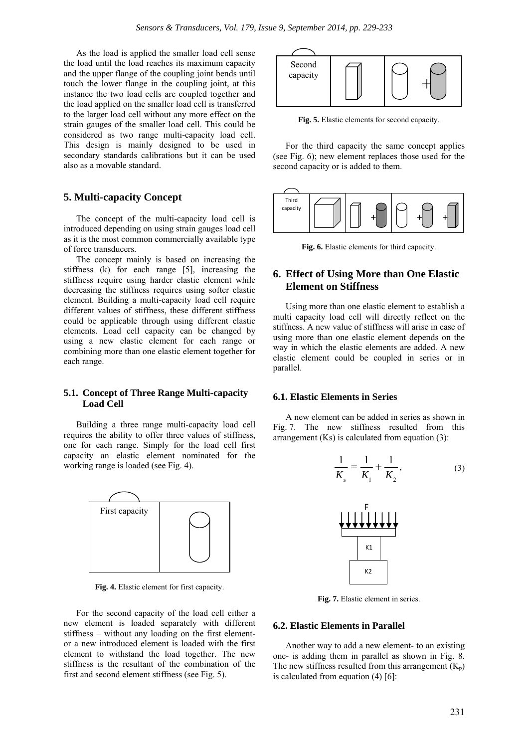As the load is applied the smaller load cell sense the load until the load reaches its maximum capacity and the upper flange of the coupling joint bends until touch the lower flange in the coupling joint, at this instance the two load cells are coupled together and the load applied on the smaller load cell is transferred to the larger load cell without any more effect on the strain gauges of the smaller load cell. This could be considered as two range multi-capacity load cell. This design is mainly designed to be used in secondary standards calibrations but it can be used also as a movable standard.

## **5. Multi-capacity Concept**

The concept of the multi-capacity load cell is introduced depending on using strain gauges load cell as it is the most common commercially available type of force transducers.

The concept mainly is based on increasing the stiffness (k) for each range [5], increasing the stiffness require using harder elastic element while decreasing the stiffness requires using softer elastic element. Building a multi-capacity load cell require different values of stiffness, these different stiffness could be applicable through using different elastic elements. Load cell capacity can be changed by using a new elastic element for each range or combining more than one elastic element together for each range.

### **5.1. Concept of Three Range Multi-capacity Load Cell**

Building a three range multi-capacity load cell requires the ability to offer three values of stiffness, one for each range. Simply for the load cell first capacity an elastic element nominated for the working range is loaded (see Fig. 4).



**Fig. 4.** Elastic element for first capacity.

For the second capacity of the load cell either a new element is loaded separately with different stiffness – without any loading on the first elementor a new introduced element is loaded with the first element to withstand the load together. The new stiffness is the resultant of the combination of the first and second element stiffness (see Fig. 5).



**Fig. 5.** Elastic elements for second capacity.

For the third capacity the same concept applies (see Fig. 6); new element replaces those used for the second capacity or is added to them.



**Fig. 6.** Elastic elements for third capacity.

## **6. Effect of Using More than One Elastic Element on Stiffness**

Using more than one elastic element to establish a multi capacity load cell will directly reflect on the stiffness. A new value of stiffness will arise in case of using more than one elastic element depends on the way in which the elastic elements are added. A new elastic element could be coupled in series or in parallel.

#### **6.1. Elastic Elements in Series**

A new element can be added in series as shown in Fig. 7. The new stiffness resulted from this arrangement  $(Ks)$  is calculated from equation  $(3)$ :

$$
\frac{1}{K_s} = \frac{1}{K_1} + \frac{1}{K_2},
$$
 (3)



**Fig. 7.** Elastic element in series.

#### **6.2. Elastic Elements in Parallel**

Another way to add a new element- to an existing one- is adding them in parallel as shown in Fig. 8. The new stiffness resulted from this arrangement  $(K_p)$ is calculated from equation (4) [6]: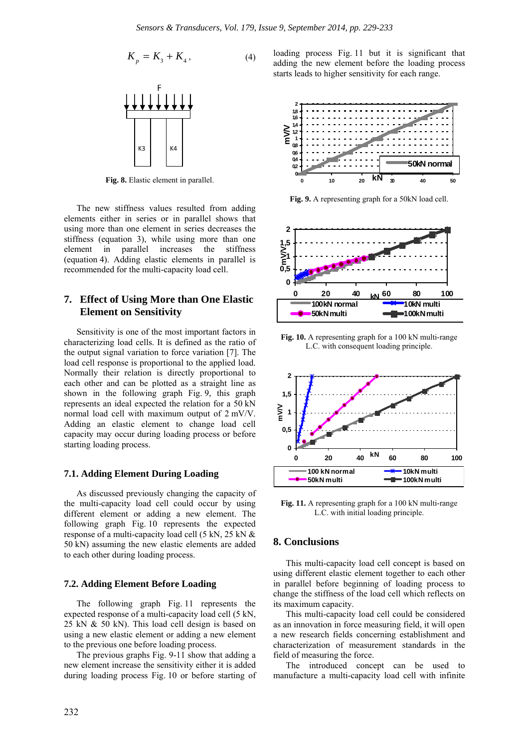$$
K_p = K_3 + K_4, \t\t(4)
$$



**Fig. 8.** Elastic element in parallel.

The new stiffness values resulted from adding elements either in series or in parallel shows that using more than one element in series decreases the stiffness (equation 3), while using more than one element in parallel increases the stiffness (equation 4). Adding elastic elements in parallel is recommended for the multi-capacity load cell.

## **7. Effect of Using More than One Elastic Element on Sensitivity**

Sensitivity is one of the most important factors in characterizing load cells. It is defined as the ratio of the output signal variation to force variation [7]. The load cell response is proportional to the applied load. Normally their relation is directly proportional to each other and can be plotted as a straight line as shown in the following graph Fig. 9, this graph represents an ideal expected the relation for a 50 kN normal load cell with maximum output of 2 mV/V. Adding an elastic element to change load cell capacity may occur during loading process or before starting loading process.

#### **7.1. Adding Element During Loading**

As discussed previously changing the capacity of the multi-capacity load cell could occur by using different element or adding a new element. The following graph Fig. 10 represents the expected response of a multi-capacity load cell (5 kN, 25 kN & 50 kN) assuming the new elastic elements are added to each other during loading process.

#### **7.2. Adding Element Before Loading**

The following graph Fig. 11 represents the expected response of a multi-capacity load cell (5 kN, 25 kN & 50 kN). This load cell design is based on using a new elastic element or adding a new element to the previous one before loading process.

The previous graphs Fig. 9-11 show that adding a new element increase the sensitivity either it is added during loading process Fig. 10 or before starting of loading process Fig. 11 but it is significant that adding the new element before the loading process starts leads to higher sensitivity for each range.



**Fig. 9.** A representing graph for a 50kN load cell.



**Fig. 10.** A representing graph for a 100 kN multi-range L.C. with consequent loading principle.



Fig. 11. A representing graph for a 100 kN multi-range L.C. with initial loading principle.

## **8. Conclusions**

This multi-capacity load cell concept is based on using different elastic element together to each other in parallel before beginning of loading process to change the stiffness of the load cell which reflects on its maximum capacity.

This multi-capacity load cell could be considered as an innovation in force measuring field, it will open a new research fields concerning establishment and characterization of measurement standards in the field of measuring the force.

The introduced concept can be used to manufacture a multi-capacity load cell with infinite